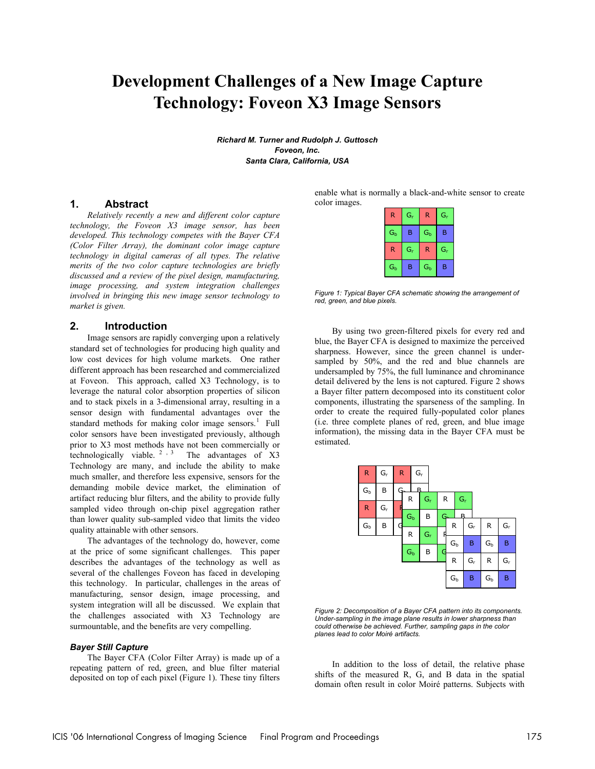# **Development Challenges of a New Image Capture Technology: Foveon X3 Image Sensors**

*Richard M. Turner and Rudolph J. Guttosch Foveon, Inc. Santa Clara, California, USA* 

## **1. Abstract**

*Relatively recently a new and different color capture technology, the Foveon X3 image sensor, has been developed. This technology competes with the Bayer CFA (Color Filter Array), the dominant color image capture technology in digital cameras of all types. The relative merits of the two color capture technologies are briefly discussed and a review of the pixel design, manufacturing, image processing, and system integration challenges involved in bringing this new image sensor technology to market is given.* 

## **2. Introduction**

Image sensors are rapidly converging upon a relatively standard set of technologies for producing high quality and low cost devices for high volume markets. One rather different approach has been researched and commercialized at Foveon. This approach, called X3 Technology, is to leverage the natural color absorption properties of silicon and to stack pixels in a 3-dimensional array, resulting in a sensor design with fundamental advantages over the standard methods for making color image sensors.<sup>1</sup> Full color sensors have been investigated previously, although prior to X3 most methods have not been commercially or technologically viable.  $2^{3}$ , The advantages of X3 Technology are many, and include the ability to make much smaller, and therefore less expensive, sensors for the demanding mobile device market, the elimination of artifact reducing blur filters, and the ability to provide fully sampled video through on-chip pixel aggregation rather than lower quality sub-sampled video that limits the video quality attainable with other sensors.

The advantages of the technology do, however, come at the price of some significant challenges. This paper describes the advantages of the technology as well as several of the challenges Foveon has faced in developing this technology. In particular, challenges in the areas of manufacturing, sensor design, image processing, and system integration will all be discussed. We explain that the challenges associated with X3 Technology are surmountable, and the benefits are very compelling.

### *Bayer Still Capture*

The Bayer CFA (Color Filter Array) is made up of a repeating pattern of red, green, and blue filter material deposited on top of each pixel (Figure 1). These tiny filters enable what is normally a black-and-white sensor to create color images.

| R       | $G_r$ | R                       | $G_r$                   |  |
|---------|-------|-------------------------|-------------------------|--|
| $G_{b}$ | B     | $G_{b}$                 | B                       |  |
| R       | $G_r$ | R                       | $\mathsf{G}_\mathsf{r}$ |  |
| $G_{b}$ | B     | $\mathsf{G}_\mathsf{b}$ | B                       |  |

*Figure 1: Typical Bayer CFA schematic showing the arrangement of red, green, and blue pixels.* 

By using two green-filtered pixels for every red and blue, the Bayer CFA is designed to maximize the perceived sharpness. However, since the green channel is undersampled by 50%, and the red and blue channels are undersampled by 75%, the full luminance and chrominance detail delivered by the lens is not captured. Figure 2 shows a Bayer filter pattern decomposed into its constituent color components, illustrating the sparseness of the sampling. In order to create the required fully-populated color planes (i.e. three complete planes of red, green, and blue image information), the missing data in the Bayer CFA must be estimated.



*Figure 2: Decomposition of a Bayer CFA pattern into its components. Under-sampling in the image plane results in lower sharpness than could otherwise be achieved. Further, sampling gaps in the color planes lead to color Moiré artifacts.* 

In addition to the loss of detail, the relative phase shifts of the measured R, G, and B data in the spatial domain often result in color Moiré patterns. Subjects with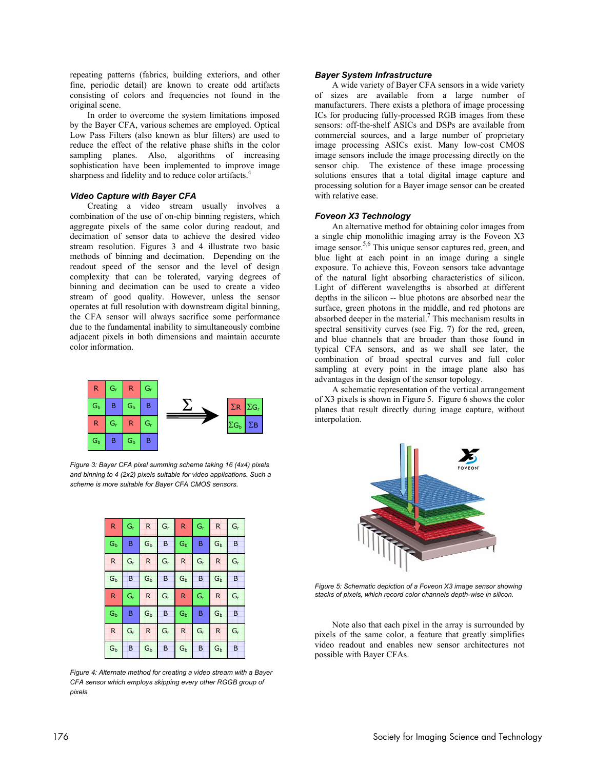repeating patterns (fabrics, building exteriors, and other fine, periodic detail) are known to create odd artifacts consisting of colors and frequencies not found in the original scene.

In order to overcome the system limitations imposed by the Bayer CFA, various schemes are employed. Optical Low Pass Filters (also known as blur filters) are used to reduce the effect of the relative phase shifts in the color sampling planes. Also, algorithms of increasing sophistication have been implemented to improve image sharpness and fidelity and to reduce color artifacts.<sup>4</sup>

### *Video Capture with Bayer CFA*

Creating a video stream usually involves a combination of the use of on-chip binning registers, which aggregate pixels of the same color during readout, and decimation of sensor data to achieve the desired video stream resolution. Figures 3 and 4 illustrate two basic methods of binning and decimation. Depending on the readout speed of the sensor and the level of design complexity that can be tolerated, varying degrees of binning and decimation can be used to create a video stream of good quality. However, unless the sensor operates at full resolution with downstream digital binning, the CFA sensor will always sacrifice some performance due to the fundamental inability to simultaneously combine adjacent pixels in both dimensions and maintain accurate color information.



*Figure 3: Bayer CFA pixel summing scheme taking 16 (4x4) pixels and binning to 4 (2x2) pixels suitable for video applications. Such a scheme is more suitable for Bayer CFA CMOS sensors.* 

| R            | $G_r$ | R       | $G_r$ | R            | $G_r$ | $\mathsf{R}$ | $G_r$ |
|--------------|-------|---------|-------|--------------|-------|--------------|-------|
| $G_b$        | B     | $G_b$   | B     | $G_b$        | B     | $G_b$        | B     |
| $\mathsf{R}$ | $G_r$ | R       | $G_r$ | $\mathsf{R}$ | $G_r$ | R            | $G_r$ |
| $G_b$        | B     | $G_{b}$ | B     | $G_b$        | B     | $G_b$        | B     |
| R            | $G_r$ | R       | $G_r$ | R            | $G_r$ | R            | $G_r$ |
| $G_b$        | B     | $G_b$   | B     | $G_b$        | B     | $G_b$        | B     |
| R            | $G_r$ | R       | $G_r$ | R            | $G_r$ | $\mathsf{R}$ | $G_r$ |
| $G_b$        | B     | $G_b$   | B     | $G_b$        | B     | $G_b$        | B     |

*Figure 4: Alternate method for creating a video stream with a Bayer CFA sensor which employs skipping every other RGGB group of pixels* 

### *Bayer System Infrastructure*

A wide variety of Bayer CFA sensors in a wide variety of sizes are available from a large number of manufacturers. There exists a plethora of image processing ICs for producing fully-processed RGB images from these sensors: off-the-shelf ASICs and DSPs are available from commercial sources, and a large number of proprietary image processing ASICs exist. Many low-cost CMOS image sensors include the image processing directly on the sensor chip. The existence of these image processing solutions ensures that a total digital image capture and processing solution for a Bayer image sensor can be created with relative ease.

## *Foveon X3 Technology*

An alternative method for obtaining color images from a single chip monolithic imaging array is the Foveon X3 image sensor.<sup>5,6</sup> This unique sensor captures red, green, and blue light at each point in an image during a single exposure. To achieve this, Foveon sensors take advantage of the natural light absorbing characteristics of silicon. Light of different wavelengths is absorbed at different depths in the silicon -- blue photons are absorbed near the surface, green photons in the middle, and red photons are absorbed deeper in the material.<sup>7</sup> This mechanism results in spectral sensitivity curves (see Fig. 7) for the red, green, and blue channels that are broader than those found in typical CFA sensors, and as we shall see later, the combination of broad spectral curves and full color sampling at every point in the image plane also has advantages in the design of the sensor topology.

A schematic representation of the vertical arrangement of X3 pixels is shown in Figure 5. Figure 6 shows the color planes that result directly during image capture, without interpolation.



*Figure 5: Schematic depiction of a Foveon X3 image sensor showing stacks of pixels, which record color channels depth-wise in silicon.* 

Note also that each pixel in the array is surrounded by pixels of the same color, a feature that greatly simplifies video readout and enables new sensor architectures not possible with Bayer CFAs.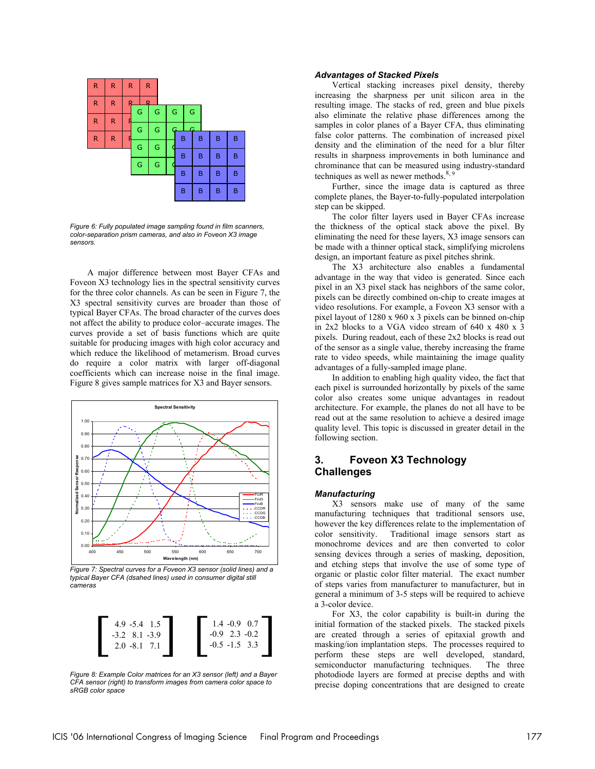

*Figure 6: Fully populated image sampling found in film scanners, color-separation prism cameras, and also in Foveon X3 image sensors.* 

A major difference between most Bayer CFAs and Foveon X3 technology lies in the spectral sensitivity curves for the three color channels. As can be seen in Figure 7, the X3 spectral sensitivity curves are broader than those of typical Bayer CFAs. The broad character of the curves does not affect the ability to produce color–accurate images. The curves provide a set of basis functions which are quite suitable for producing images with high color accuracy and which reduce the likelihood of metamerism. Broad curves do require a color matrix with larger off-diagonal coefficients which can increase noise in the final image. Figure 8 gives sample matrices for X3 and Bayer sensors.



*Figure 7: Spectral curves for a Foveon X3 sensor (solid lines) and a typical Bayer CFA (dsahed lines) used in consumer digital still cameras* 

| $4.9 - 5.4 \quad 1.5$ | $1.4 - 0.9 0.7$   |
|-----------------------|-------------------|
| $-3.2$ 8.1 $-3.9$     | $-0.9$ 2.3 $-0.2$ |
| $2.0 - 8.1$ 7.1       | $-0.5 -1.5$ 3.3   |
|                       |                   |

*Figure 8: Example Color matrices for an X3 sensor (left) and a Bayer CFA sensor (right) to transform images from camera color space to sRGB color space* 

## *Advantages of Stacked Pixels*

Vertical stacking increases pixel density, thereby increasing the sharpness per unit silicon area in the resulting image. The stacks of red, green and blue pixels also eliminate the relative phase differences among the samples in color planes of a Bayer CFA, thus eliminating false color patterns. The combination of increased pixel density and the elimination of the need for a blur filter results in sharpness improvements in both luminance and chrominance that can be measured using industry-standard techniques as well as newer methods. $8,9$ 

Further, since the image data is captured as three complete planes, the Bayer-to-fully-populated interpolation step can be skipped.

The color filter layers used in Bayer CFAs increase the thickness of the optical stack above the pixel. By eliminating the need for these layers, X3 image sensors can be made with a thinner optical stack, simplifying microlens design, an important feature as pixel pitches shrink.

The X3 architecture also enables a fundamental advantage in the way that video is generated. Since each pixel in an X3 pixel stack has neighbors of the same color, pixels can be directly combined on-chip to create images at video resolutions. For example, a Foveon X3 sensor with a pixel layout of 1280 x 960 x 3 pixels can be binned on-chip in 2x2 blocks to a VGA video stream of 640 x 480 x 3 pixels. During readout, each of these 2x2 blocks is read out of the sensor as a single value, thereby increasing the frame rate to video speeds, while maintaining the image quality advantages of a fully-sampled image plane.

In addition to enabling high quality video, the fact that each pixel is surrounded horizontally by pixels of the same color also creates some unique advantages in readout architecture. For example, the planes do not all have to be read out at the same resolution to achieve a desired image quality level. This topic is discussed in greater detail in the following section.

# **3. Foveon X3 Technology Challenges**

#### *Manufacturing*

X3 sensors make use of many of the same manufacturing techniques that traditional sensors use, however the key differences relate to the implementation of color sensitivity. Traditional image sensors start as monochrome devices and are then converted to color sensing devices through a series of masking, deposition, and etching steps that involve the use of some type of organic or plastic color filter material. The exact number of steps varies from manufacturer to manufacturer, but in general a minimum of 3-5 steps will be required to achieve a 3-color device.

For X3, the color capability is built-in during the initial formation of the stacked pixels. The stacked pixels are created through a series of epitaxial growth and masking/ion implantation steps. The processes required to perform these steps are well developed, standard, semiconductor manufacturing techniques. The three photodiode layers are formed at precise depths and with precise doping concentrations that are designed to create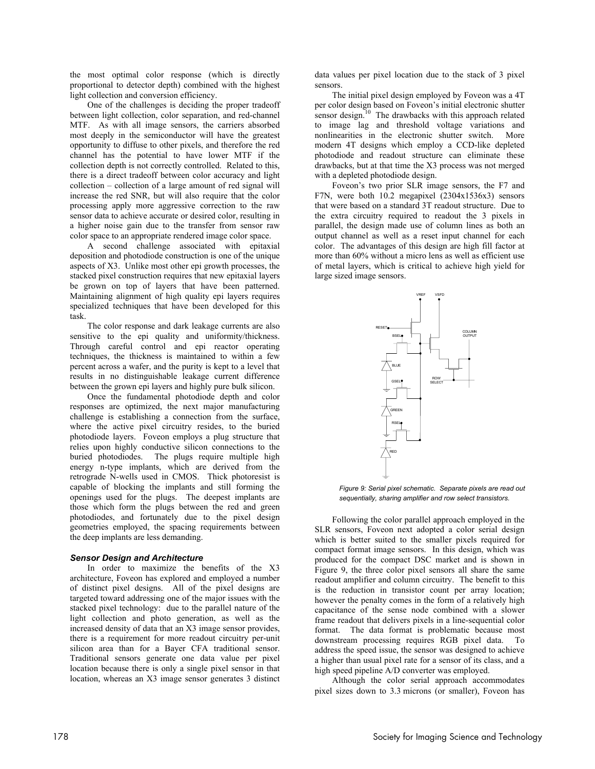the most optimal color response (which is directly proportional to detector depth) combined with the highest light collection and conversion efficiency.

One of the challenges is deciding the proper tradeoff between light collection, color separation, and red-channel MTF. As with all image sensors, the carriers absorbed most deeply in the semiconductor will have the greatest opportunity to diffuse to other pixels, and therefore the red channel has the potential to have lower MTF if the collection depth is not correctly controlled. Related to this, there is a direct tradeoff between color accuracy and light collection – collection of a large amount of red signal will increase the red SNR, but will also require that the color processing apply more aggressive correction to the raw sensor data to achieve accurate or desired color, resulting in a higher noise gain due to the transfer from sensor raw color space to an appropriate rendered image color space.

A second challenge associated with epitaxial deposition and photodiode construction is one of the unique aspects of X3. Unlike most other epi growth processes, the stacked pixel construction requires that new epitaxial layers be grown on top of layers that have been patterned. Maintaining alignment of high quality epi layers requires specialized techniques that have been developed for this task.

The color response and dark leakage currents are also sensitive to the epi quality and uniformity/thickness. Through careful control and epi reactor operating techniques, the thickness is maintained to within a few percent across a wafer, and the purity is kept to a level that results in no distinguishable leakage current difference between the grown epi layers and highly pure bulk silicon.

Once the fundamental photodiode depth and color responses are optimized, the next major manufacturing challenge is establishing a connection from the surface, where the active pixel circuitry resides, to the buried photodiode layers. Foveon employs a plug structure that relies upon highly conductive silicon connections to the buried photodiodes. The plugs require multiple high energy n-type implants, which are derived from the retrograde N-wells used in CMOS. Thick photoresist is capable of blocking the implants and still forming the openings used for the plugs. The deepest implants are those which form the plugs between the red and green photodiodes, and fortunately due to the pixel design geometries employed, the spacing requirements between the deep implants are less demanding.

### *Sensor Design and Architecture*

In order to maximize the benefits of the X3 architecture, Foveon has explored and employed a number of distinct pixel designs. All of the pixel designs are targeted toward addressing one of the major issues with the stacked pixel technology: due to the parallel nature of the light collection and photo generation, as well as the increased density of data that an X3 image sensor provides, there is a requirement for more readout circuitry per-unit silicon area than for a Bayer CFA traditional sensor. Traditional sensors generate one data value per pixel location because there is only a single pixel sensor in that location, whereas an X3 image sensor generates 3 distinct

data values per pixel location due to the stack of 3 pixel sensors.

The initial pixel design employed by Foveon was a 4T per color design based on Foveon's initial electronic shutter sensor design.<sup>10</sup> The drawbacks with this approach related to image lag and threshold voltage variations and nonlinearities in the electronic shutter switch. More modern 4T designs which employ a CCD-like depleted photodiode and readout structure can eliminate these drawbacks, but at that time the X3 process was not merged with a depleted photodiode design.

Foveon's two prior SLR image sensors, the F7 and F7N, were both 10.2 megapixel (2304x1536x3) sensors that were based on a standard 3T readout structure. Due to the extra circuitry required to readout the 3 pixels in parallel, the design made use of column lines as both an output channel as well as a reset input channel for each color. The advantages of this design are high fill factor at more than 60% without a micro lens as well as efficient use of metal layers, which is critical to achieve high yield for large sized image sensors.



*Figure 9: Serial pixel schematic. Separate pixels are read out sequentially, sharing amplifier and row select transistors.*

Following the color parallel approach employed in the SLR sensors, Foveon next adopted a color serial design which is better suited to the smaller pixels required for compact format image sensors. In this design, which was produced for the compact DSC market and is shown in Figure 9, the three color pixel sensors all share the same readout amplifier and column circuitry. The benefit to this is the reduction in transistor count per array location; however the penalty comes in the form of a relatively high capacitance of the sense node combined with a slower frame readout that delivers pixels in a line-sequential color format. The data format is problematic because most downstream processing requires RGB pixel data. To address the speed issue, the sensor was designed to achieve a higher than usual pixel rate for a sensor of its class, and a high speed pipeline A/D converter was employed.

Although the color serial approach accommodates pixel sizes down to 3.3 microns (or smaller), Foveon has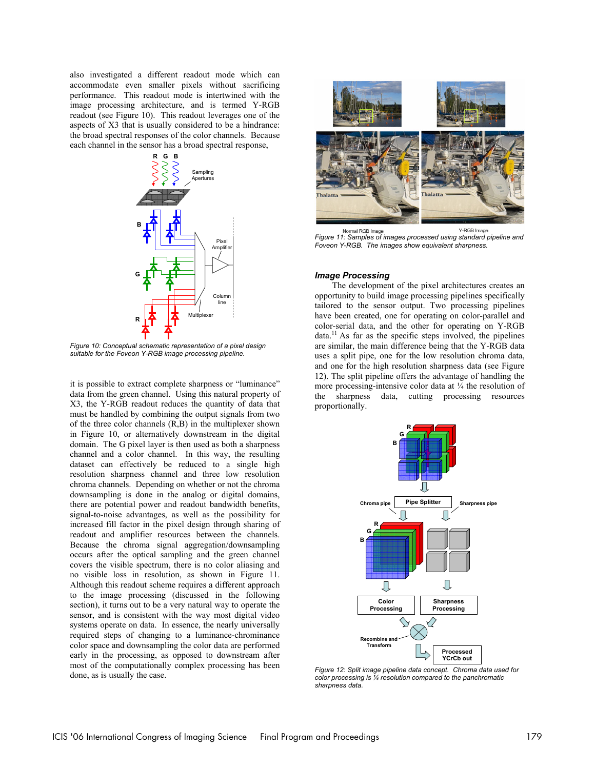also investigated a different readout mode which can accommodate even smaller pixels without sacrificing performance. This readout mode is intertwined with the image processing architecture, and is termed Y-RGB readout (see Figure 10). This readout leverages one of the aspects of X3 that is usually considered to be a hindrance: the broad spectral responses of the color channels. Because each channel in the sensor has a broad spectral response,



*Figure 10: Conceptual schematic representation of a pixel design suitable for the Foveon Y-RGB image processing pipeline.* 

it is possible to extract complete sharpness or "luminance" data from the green channel. Using this natural property of X3, the Y-RGB readout reduces the quantity of data that must be handled by combining the output signals from two of the three color channels (R,B) in the multiplexer shown in Figure 10, or alternatively downstream in the digital domain. The G pixel layer is then used as both a sharpness channel and a color channel. In this way, the resulting dataset can effectively be reduced to a single high resolution sharpness channel and three low resolution chroma channels. Depending on whether or not the chroma downsampling is done in the analog or digital domains, there are potential power and readout bandwidth benefits, signal-to-noise advantages, as well as the possibility for increased fill factor in the pixel design through sharing of readout and amplifier resources between the channels. Because the chroma signal aggregation/downsampling occurs after the optical sampling and the green channel covers the visible spectrum, there is no color aliasing and no visible loss in resolution, as shown in Figure 11. Although this readout scheme requires a different approach to the image processing (discussed in the following section), it turns out to be a very natural way to operate the sensor, and is consistent with the way most digital video systems operate on data. In essence, the nearly universally required steps of changing to a luminance-chrominance color space and downsampling the color data are performed early in the processing, as opposed to downstream after most of the computationally complex processing has been done, as is usually the case.



*Figure 11: Samples of images processed using standard pipeline and Foveon Y-RGB. The images show equivalent sharpness.* 

#### *Image Processing*

The development of the pixel architectures creates an opportunity to build image processing pipelines specifically tailored to the sensor output. Two processing pipelines have been created, one for operating on color-parallel and color-serial data, and the other for operating on Y-RGB  $data<sup>11</sup>$  As far as the specific steps involved, the pipelines are similar, the main difference being that the Y-RGB data uses a split pipe, one for the low resolution chroma data, and one for the high resolution sharpness data (see Figure 12). The split pipeline offers the advantage of handling the more processing-intensive color data at  $\frac{1}{4}$  the resolution of the sharpness data, cutting processing resources proportionally.



*Figure 12: Split image pipeline data concept. Chroma data used for color processing is ¼ resolution compared to the panchromatic sharpness data.*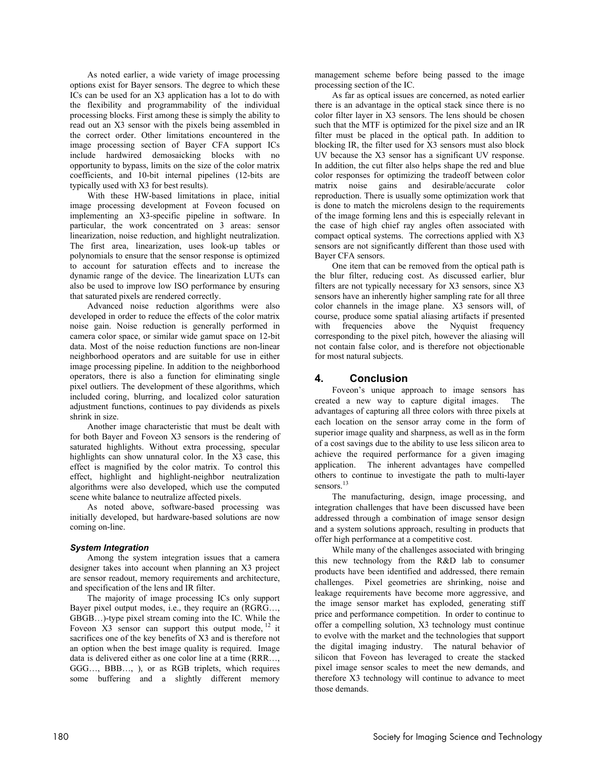As noted earlier, a wide variety of image processing options exist for Bayer sensors. The degree to which these ICs can be used for an X3 application has a lot to do with the flexibility and programmability of the individual processing blocks. First among these is simply the ability to read out an X3 sensor with the pixels being assembled in the correct order. Other limitations encountered in the image processing section of Bayer CFA support ICs include hardwired demosaicking blocks with no opportunity to bypass, limits on the size of the color matrix coefficients, and 10-bit internal pipelines (12-bits are typically used with X3 for best results).

With these HW-based limitations in place, initial image processing development at Foveon focused on implementing an X3-specific pipeline in software. In particular, the work concentrated on 3 areas: sensor linearization, noise reduction, and highlight neutralization. The first area, linearization, uses look-up tables or polynomials to ensure that the sensor response is optimized to account for saturation effects and to increase the dynamic range of the device. The linearization LUTs can also be used to improve low ISO performance by ensuring that saturated pixels are rendered correctly.

Advanced noise reduction algorithms were also developed in order to reduce the effects of the color matrix noise gain. Noise reduction is generally performed in camera color space, or similar wide gamut space on 12-bit data. Most of the noise reduction functions are non-linear neighborhood operators and are suitable for use in either image processing pipeline. In addition to the neighborhood operators, there is also a function for eliminating single pixel outliers. The development of these algorithms, which included coring, blurring, and localized color saturation adjustment functions, continues to pay dividends as pixels shrink in size.

Another image characteristic that must be dealt with for both Bayer and Foveon X3 sensors is the rendering of saturated highlights. Without extra processing, specular highlights can show unnatural color. In the X3 case, this effect is magnified by the color matrix. To control this effect, highlight and highlight-neighbor neutralization algorithms were also developed, which use the computed scene white balance to neutralize affected pixels.

As noted above, software-based processing was initially developed, but hardware-based solutions are now coming on-line.

# *System Integration*

Among the system integration issues that a camera designer takes into account when planning an X3 project are sensor readout, memory requirements and architecture, and specification of the lens and IR filter.

The majority of image processing ICs only support Bayer pixel output modes, i.e., they require an (RGRG…, GBGB…)-type pixel stream coming into the IC. While the Foveon  $X3$  sensor can support this output mode,  $^{12}$  it sacrifices one of the key benefits of X3 and is therefore not an option when the best image quality is required. Image data is delivered either as one color line at a time (RRR…, GGG…, BBB…, ), or as RGB triplets, which requires some buffering and a slightly different memory management scheme before being passed to the image processing section of the IC.

As far as optical issues are concerned, as noted earlier there is an advantage in the optical stack since there is no color filter layer in X3 sensors. The lens should be chosen such that the MTF is optimized for the pixel size and an IR filter must be placed in the optical path. In addition to blocking IR, the filter used for X3 sensors must also block UV because the X3 sensor has a significant UV response. In addition, the cut filter also helps shape the red and blue color responses for optimizing the tradeoff between color matrix noise gains and desirable/accurate color reproduction. There is usually some optimization work that is done to match the microlens design to the requirements of the image forming lens and this is especially relevant in the case of high chief ray angles often associated with compact optical systems. The corrections applied with X3 sensors are not significantly different than those used with Bayer CFA sensors.

One item that can be removed from the optical path is the blur filter, reducing cost. As discussed earlier, blur filters are not typically necessary for X3 sensors, since X3 sensors have an inherently higher sampling rate for all three color channels in the image plane. X3 sensors will, of course, produce some spatial aliasing artifacts if presented with frequencies above the Nyquist frequency corresponding to the pixel pitch, however the aliasing will not contain false color, and is therefore not objectionable for most natural subjects.

# **4. Conclusion**

Foveon's unique approach to image sensors has created a new way to capture digital images. The advantages of capturing all three colors with three pixels at each location on the sensor array come in the form of superior image quality and sharpness, as well as in the form of a cost savings due to the ability to use less silicon area to achieve the required performance for a given imaging application. The inherent advantages have compelled others to continue to investigate the path to multi-layer sensors.<sup>13</sup>

The manufacturing, design, image processing, and integration challenges that have been discussed have been addressed through a combination of image sensor design and a system solutions approach, resulting in products that offer high performance at a competitive cost.

While many of the challenges associated with bringing this new technology from the R&D lab to consumer products have been identified and addressed, there remain challenges. Pixel geometries are shrinking, noise and leakage requirements have become more aggressive, and the image sensor market has exploded, generating stiff price and performance competition. In order to continue to offer a compelling solution, X3 technology must continue to evolve with the market and the technologies that support the digital imaging industry. The natural behavior of silicon that Foveon has leveraged to create the stacked pixel image sensor scales to meet the new demands, and therefore X3 technology will continue to advance to meet those demands.